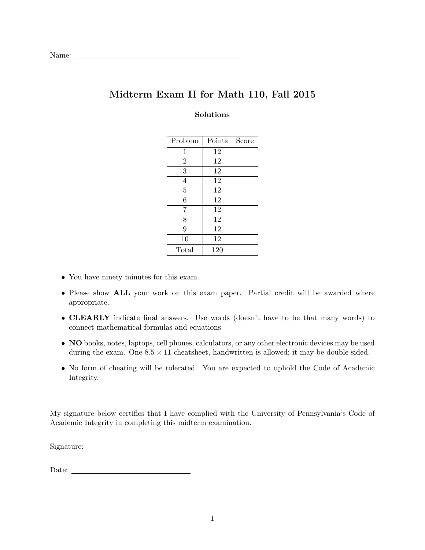# Midterm Exam II for Math 110, Fall 2015

#### Solutions

| Problem        | Points | Score |
|----------------|--------|-------|
| 1              | 12     |       |
| $\overline{2}$ | 12     |       |
| $\overline{3}$ | 12     |       |
| $\overline{4}$ | 12     |       |
| $\overline{5}$ | 12     |       |
| $\sqrt{6}$     | 12     |       |
| 7              | 12     |       |
| 8              | 12     |       |
| 9              | 12     |       |
| 10             | 12     |       |
| Total          | 120    |       |

- You have ninety minutes for this exam.
- Please show **ALL** your work on this exam paper. Partial credit will be awarded where appropriate.
- CLEARLY indicate final answers. Use words (doesn't have to be that many words) to connect mathematical formulas and equations.
- NO books, notes, laptops, cell phones, calculators, or any other electronic devices may be used during the exam. One  $8.5 \times 11$  cheatsheet, handwritten is allowed; it may be double-sided.
- No form of cheating will be tolerated. You are expected to uphold the Code of Academic Integrity.

My signature below certifies that I have complied with the University of Pennsylvania's Code of Academic Integrity in completing this midterm examination.

Signature:

 ${\bf Date:} \begin{tabular}{|l|l|} \hline \hline \multicolumn{1}{|l|}{\textbf{Date:}} \end{tabular}$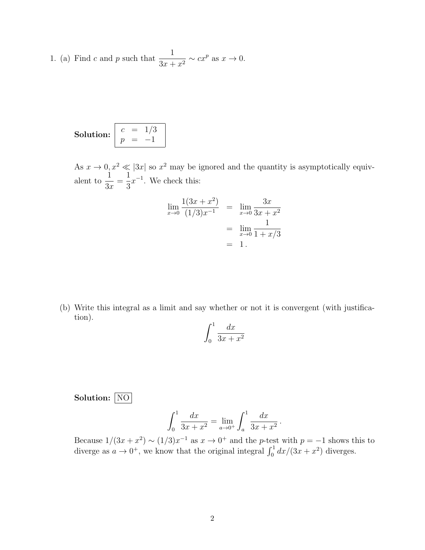1. (a) Find c and p such that  $\frac{1}{2}$  $\frac{1}{3x + x^2} \sim cx^p$  as  $x \to 0$ .

Solution: 
$$
\begin{array}{|c|c|c|}\n c & = & 1/3 \\
p & = & -1\n\end{array}
$$

As  $x \to 0, x^2 \ll |3x|$  so  $x^2$  may be ignored and the quantity is asymptotically equivalent to  $\frac{1}{2}$  $3x$ = 1 3  $x^{-1}$ . We check this:

$$
\lim_{x \to 0} \frac{1(3x + x^2)}{(1/3)x^{-1}} = \lim_{x \to 0} \frac{3x}{3x + x^2}
$$

$$
= \lim_{x \to 0} \frac{1}{1 + x/3}
$$

$$
= 1.
$$

(b) Write this integral as a limit and say whether or not it is convergent (with justification).

$$
\int_0^1 \frac{dx}{3x + x^2}
$$

Solution: NO

$$
\int_0^1 \frac{dx}{3x + x^2} = \lim_{a \to 0^+} \int_a^1 \frac{dx}{3x + x^2}.
$$

Because  $1/(3x+x^2) \sim (1/3)x^{-1}$  as  $x \to 0^+$  and the *p*-test with  $p=-1$  shows this to diverge as  $a \to 0^+$ , we know that the original integral  $\int_0^1 dx/(3x + x^2)$  diverges.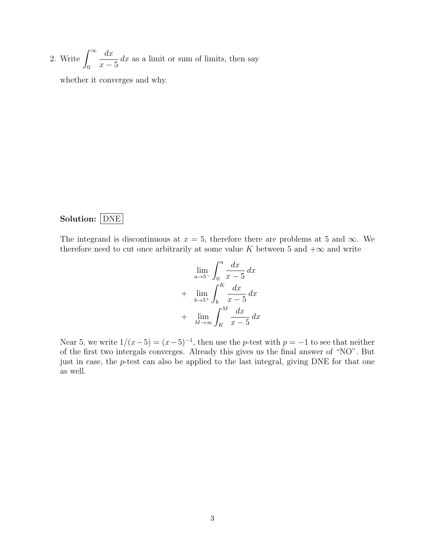2. Write  $\int_{0}^{\infty}$ 0  $dx$  $x - 5$  $dx$  as a limit or sum of limits, then say

whether it converges and why.

#### Solution: DNE

The integrand is discontinuous at  $x = 5$ , therefore there are problems at 5 and  $\infty$ . We therefore need to cut once arbitrarily at some value K between 5 and  $+\infty$  and write

$$
\lim_{a \to 5^{-}} \int_{0}^{a} \frac{dx}{x - 5} dx
$$
  
+ 
$$
\lim_{b \to 5^{+}} \int_{b}^{K} \frac{dx}{x - 5} dx
$$
  
+ 
$$
\lim_{M \to \infty} \int_{K}^{M} \frac{dx}{x - 5} dx
$$

Near 5, we write  $1/(x-5) = (x-5)^{-1}$ , then use the p-test with  $p = -1$  to see that neither of the first two intergals converges. Already this gives us the final answer of "NO". But just in case, the p-test can also be applied to the last integral, giving DNE for that one as well.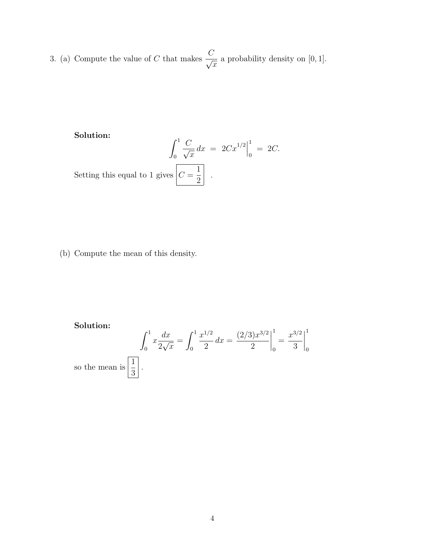3. (a) Compute the value of C that makes  $\frac{C}{\sqrt{C}}$  $\overline{x}$ a probability density on [0, 1].

### Solution:

$$
\int_0^1 \frac{C}{\sqrt{x}} dx = 2Cx^{1/2}\Big|_0^1 = 2C.
$$
  
Setting this equal to 1 gives  $C = \frac{1}{2}$ .

(b) Compute the mean of this density.

Solution:

$$
\int_0^1 x \frac{dx}{2\sqrt{x}} = \int_0^1 \frac{x^{1/2}}{2} dx = \left. \frac{(2/3)x^{3/2}}{2} \right|_0^1 = \left. \frac{x^{3/2}}{3} \right|_0^1
$$
  
mean is  $\left[ \frac{1}{2} \right]$ .

so the  $\mathbf m$ 3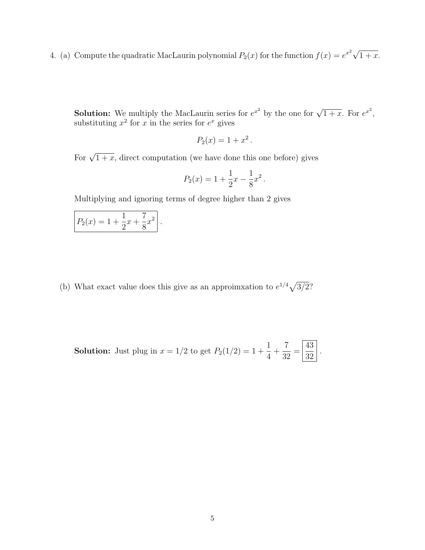4. (a) Compute the quadratic MacLaurin polynomial  $P_2(x)$  for the function  $f(x) = e^{x^2} \sqrt{\frac{2}{x}}$  $1 + x$ .

**Solution:** We multiply the MacLaurin series for  $e^{x^2}$  by the one for  $\sqrt{1+x}$ . For  $e^{x^2}$ , substituting  $x^2$  for x in the series for  $e^x$  gives

$$
P_2(x) = 1 + x^2.
$$

For  $\sqrt{1+x}$ , direct computation (we have done this one before) gives

$$
P_2(x) = 1 + \frac{1}{2}x - \frac{1}{8}x^2.
$$

Multiplying and ignoring terms of degree higher than 2 gives

$$
P_2(x) = 1 + \frac{1}{2}x + \frac{7}{8}x^2.
$$

(b) What exact value does this give as an approimxation to  $e^{1/4}\sqrt{3/2}$ ?

**Solution:** Just plug in 
$$
x = 1/2
$$
 to get  $P_2(1/2) = 1 + \frac{1}{4} + \frac{7}{32} = \left| \frac{43}{32} \right|$ .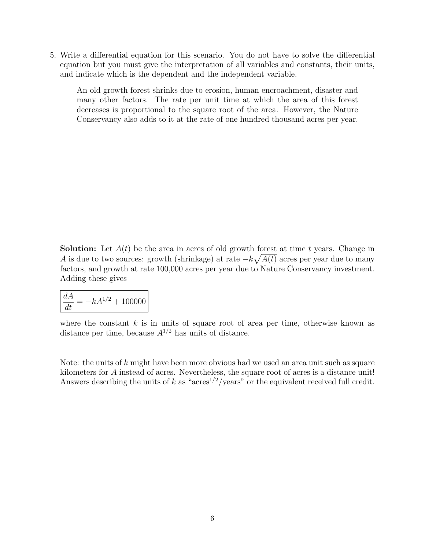5. Write a differential equation for this scenario. You do not have to solve the differential equation but you must give the interpretation of all variables and constants, their units, and indicate which is the dependent and the independent variable.

An old growth forest shrinks due to erosion, human encroachment, disaster and many other factors. The rate per unit time at which the area of this forest decreases is proportional to the square root of the area. However, the Nature Conservancy also adds to it at the rate of one hundred thousand acres per year.

**Solution:** Let  $A(t)$  be the area in acres of old growth forest at time t years. Change in A is due to two sources: growth (shrinkage) at rate  $-k\sqrt{A(t)}$  acres per year due to many factors, and growth at rate 100,000 acres per year due to Nature Conservancy investment. Adding these gives

 $\frac{dA}{dt} = -kA^{1/2} + 100000$ 

where the constant  $k$  is in units of square root of area per time, otherwise known as distance per time, because  $A^{1/2}$  has units of distance.

Note: the units of  $k$  might have been more obvious had we used an area unit such as square kilometers for A instead of acres. Nevertheless, the square root of acres is a distance unit! Answers describing the units of k as "acres<sup>1/2</sup>/years" or the equivalent received full credit.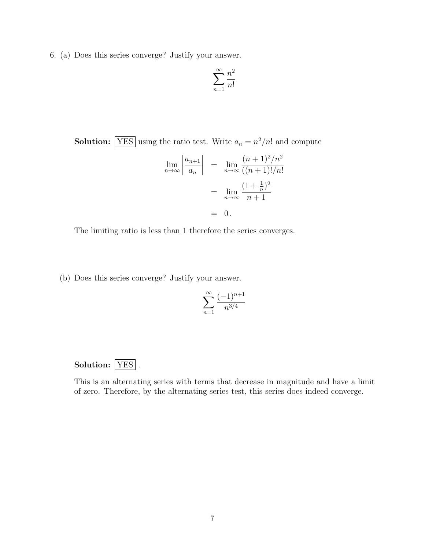6. (a) Does this series converge? Justify your answer.

$$
\sum_{n=1}^{\infty} \frac{n^2}{n!}
$$

**Solution:** YES using the ratio test. Write  $a_n = n^2/n!$  and compute

$$
\lim_{n \to \infty} \left| \frac{a_{n+1}}{a_n} \right| = \lim_{n \to \infty} \frac{(n+1)^2/n^2}{((n+1)!/n!)}
$$

$$
= \lim_{n \to \infty} \frac{(1 + \frac{1}{n})^2}{n+1}
$$

$$
= 0.
$$

The limiting ratio is less than 1 therefore the series converges.

(b) Does this series converge? Justify your answer.

$$
\sum_{n=1}^{\infty} \frac{(-1)^{n+1}}{n^{3/4}}
$$

## Solution: YES.

This is an alternating series with terms that decrease in magnitude and have a limit of zero. Therefore, by the alternating series test, this series does indeed converge.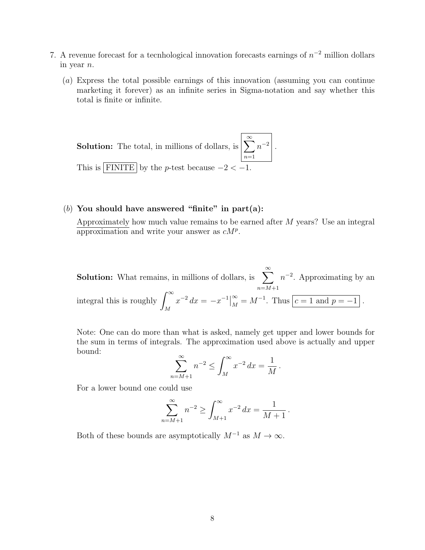- 7. A revenue forecast for a tecnhological innovation forecasts earnings of  $n^{-2}$  million dollars in year n.
	- (a) Express the total possible earnings of this innovation (assuming you can continue marketing it forever) as an infinite series in Sigma-notation and say whether this total is finite or infinite.

**Solution:** The total, in millions of dollars, is 
$$
\left[\sum_{n=1}^{\infty} n^{-2}\right]
$$
. This is  $\boxed{\text{FINITE}}$  by the *p*-test because  $-2 < -1$ .

#### (b) You should have answered "finite" in part(a):

Approximately how much value remains to be earned after M years? Use an integral approximation and write your answer as  $cM^p$ .

**Solution:** What remains, in millions of dollars, is  $\sum_{n=1}^{\infty}$  $n=M+1$  $n^{-2}$ . Approximating by an integral this is roughly  $\int^{\infty}$ M  $x^{-2} dx = -x^{-1}\big|_{M}^{\infty} = M^{-1}$ . Thus  $\boxed{c=1 \text{ and } p=-1}$ .

Note: One can do more than what is asked, namely get upper and lower bounds for the sum in terms of integrals. The approximation used above is actually and upper bound:

$$
\sum_{n=M+1}^{\infty} n^{-2} \le \int_M^{\infty} x^{-2} \, dx = \frac{1}{M} \, .
$$

For a lower bound one could use

$$
\sum_{n=M+1}^{\infty} n^{-2} \ge \int_{M+1}^{\infty} x^{-2} dx = \frac{1}{M+1}.
$$

Both of these bounds are asymptotically  $M^{-1}$  as  $M \to \infty$ .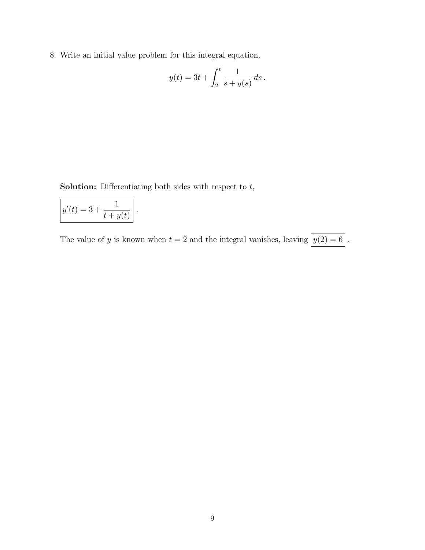8. Write an initial value problem for this integral equation.

$$
y(t) = 3t + \int_2^t \frac{1}{s + y(s)} ds.
$$

**Solution:** Differentiating both sides with respect to  $t$ ,

.

$$
y'(t) = 3 + \frac{1}{t + y(t)}
$$

The value of y is known when  $t = 2$  and the integral vanishes, leaving  $y(2) = 6$ .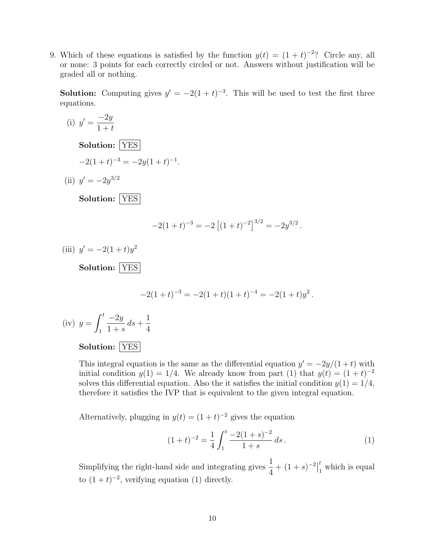9. Which of these equations is satisfied by the function  $y(t) = (1 + t)^{-2}$ ? Circle any, all or none: 3 points for each correctly circled or not. Answers without justification will be graded all or nothing.

**Solution:** Computing gives  $y' = -2(1 + t)^{-3}$ . This will be used to test the first three equations.

(i) 
$$
y' = \frac{-2y}{1+t}
$$
  
\nSolution:  $\boxed{YES}$   
\n $-2(1+t)^{-3} = -2y(1+t)^{-1}$ .  
\n(ii)  $y' = -2y^{3/2}$   
\nSolution:  $\boxed{YES}$   
\n $-2(1+t)^{-3} = -2[(1+t)^{-2}]^{3/2} = -2y^{3/2}$ .  
\n(iii)  $y' = -2(1+t)y^2$   
\nSolution:  $\boxed{YES}$   
\n $-2(1+t)^{-3} = -2(1+t)(1+t)^{-4} = -2(1+t)y^2$ .  
\n(iv)  $y = \int_1^t \frac{-2y}{1+s} ds + \frac{1}{4}$   
\nSolution:  $\boxed{YES}$ 

This integral equation is the same as the differential equation  $y' = -2y/(1+t)$  with initial condition  $y(1) = 1/4$ . We already know from part (1) that  $y(t) = (1 + t)^{-2}$ solves this differential equation. Also the it satisfies the initial condition  $y(1) = 1/4$ , therefore it satisfies the IVP that is equivalent to the given integral equation.

Alternatively, plugging in  $y(t) = (1 + t)^{-2}$  gives the equation

$$
(1+t)^{-2} = \frac{1}{4} \int_1^t \frac{-2(1+s)^{-2}}{1+s} ds.
$$
 (1)

Simplifying the right-hand side and integrating gives  $\frac{1}{4}$ 4  $+ (1 + s)^{-2}$ t  $\int_{1}^{t}$  which is equal to  $(1+t)^{-2}$ , verifying equation (1) directly.